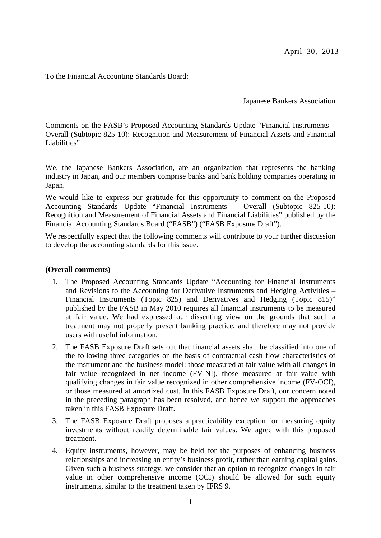April 30, 2013

To the Financial Accounting Standards Board:

Japanese Bankers Association

Comments on the FASB's Proposed Accounting Standards Update "Financial Instruments – Overall (Subtopic 825-10): Recognition and Measurement of Financial Assets and Financial Liabilities"

We, the Japanese Bankers Association, are an organization that represents the banking industry in Japan, and our members comprise banks and bank holding companies operating in Japan.

We would like to express our gratitude for this opportunity to comment on the Proposed Accounting Standards Update "Financial Instruments – Overall (Subtopic 825-10): Recognition and Measurement of Financial Assets and Financial Liabilities" published by the Financial Accounting Standards Board ("FASB") ("FASB Exposure Draft").

We respectfully expect that the following comments will contribute to your further discussion to develop the accounting standards for this issue.

#### **(Overall comments)**

- 1. The Proposed Accounting Standards Update "Accounting for Financial Instruments and Revisions to the Accounting for Derivative Instruments and Hedging Activities – Financial Instruments (Topic 825) and Derivatives and Hedging (Topic 815)" published by the FASB in May 2010 requires all financial instruments to be measured at fair value. We had expressed our dissenting view on the grounds that such a treatment may not properly present banking practice, and therefore may not provide users with useful information.
- 2. The FASB Exposure Draft sets out that financial assets shall be classified into one of the following three categories on the basis of contractual cash flow characteristics of the instrument and the business model: those measured at fair value with all changes in fair value recognized in net income (FV-NI), those measured at fair value with qualifying changes in fair value recognized in other comprehensive income (FV-OCI), or those measured at amortized cost. In this FASB Exposure Draft, our concern noted in the preceding paragraph has been resolved, and hence we support the approaches taken in this FASB Exposure Draft.
- 3. The FASB Exposure Draft proposes a practicability exception for measuring equity investments without readily determinable fair values. We agree with this proposed treatment.
- 4. Equity instruments, however, may be held for the purposes of enhancing business relationships and increasing an entity's business profit, rather than earning capital gains. Given such a business strategy, we consider that an option to recognize changes in fair value in other comprehensive income (OCI) should be allowed for such equity instruments, similar to the treatment taken by IFRS 9.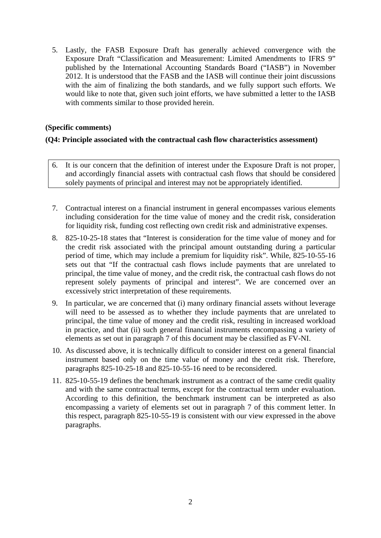5. Lastly, the FASB Exposure Draft has generally achieved convergence with the Exposure Draft "Classification and Measurement: Limited Amendments to IFRS 9" published by the International Accounting Standards Board ("IASB") in November 2012. It is understood that the FASB and the IASB will continue their joint discussions with the aim of finalizing the both standards, and we fully support such efforts. We would like to note that, given such joint efforts, we have submitted a letter to the IASB with comments similar to those provided herein.

#### **(Specific comments)**

#### **(Q4: Principle associated with the contractual cash flow characteristics assessment)**

- 6. It is our concern that the definition of interest under the Exposure Draft is not proper, and accordingly financial assets with contractual cash flows that should be considered solely payments of principal and interest may not be appropriately identified.
- 7. Contractual interest on a financial instrument in general encompasses various elements including consideration for the time value of money and the credit risk, consideration for liquidity risk, funding cost reflecting own credit risk and administrative expenses.
- 8. 825-10-25-18 states that "Interest is consideration for the time value of money and for the credit risk associated with the principal amount outstanding during a particular period of time, which may include a premium for liquidity risk". While, 825-10-55-16 sets out that "If the contractual cash flows include payments that are unrelated to principal, the time value of money, and the credit risk, the contractual cash flows do not represent solely payments of principal and interest". We are concerned over an excessively strict interpretation of these requirements.
- 9. In particular, we are concerned that (i) many ordinary financial assets without leverage will need to be assessed as to whether they include payments that are unrelated to principal, the time value of money and the credit risk, resulting in increased workload in practice, and that (ii) such general financial instruments encompassing a variety of elements as set out in paragraph 7 of this document may be classified as FV-NI.
- 10. As discussed above, it is technically difficult to consider interest on a general financial instrument based only on the time value of money and the credit risk. Therefore, paragraphs 825-10-25-18 and 825-10-55-16 need to be reconsidered.
- 11. 825-10-55-19 defines the benchmark instrument as a contract of the same credit quality and with the same contractual terms, except for the contractual term under evaluation. According to this definition, the benchmark instrument can be interpreted as also encompassing a variety of elements set out in paragraph 7 of this comment letter. In this respect, paragraph 825-10-55-19 is consistent with our view expressed in the above paragraphs.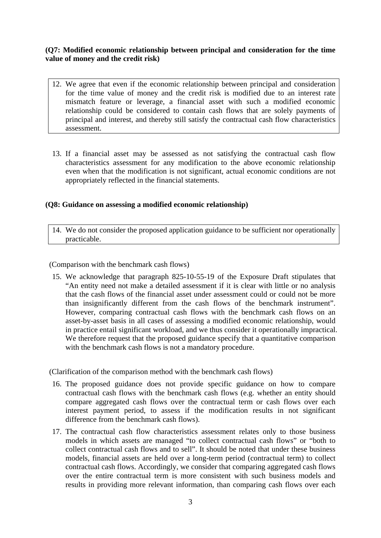## **(Q7: Modified economic relationship between principal and consideration for the time value of money and the credit risk)**

- 12. We agree that even if the economic relationship between principal and consideration for the time value of money and the credit risk is modified due to an interest rate mismatch feature or leverage, a financial asset with such a modified economic relationship could be considered to contain cash flows that are solely payments of principal and interest, and thereby still satisfy the contractual cash flow characteristics assessment.
- 13. If a financial asset may be assessed as not satisfying the contractual cash flow characteristics assessment for any modification to the above economic relationship even when that the modification is not significant, actual economic conditions are not appropriately reflected in the financial statements.

#### **(Q8: Guidance on assessing a modified economic relationship)**

14. We do not consider the proposed application guidance to be sufficient nor operationally practicable.

(Comparison with the benchmark cash flows)

15. We acknowledge that paragraph 825-10-55-19 of the Exposure Draft stipulates that "An entity need not make a detailed assessment if it is clear with little or no analysis that the cash flows of the financial asset under assessment could or could not be more than insignificantly different from the cash flows of the benchmark instrument". However, comparing contractual cash flows with the benchmark cash flows on an asset-by-asset basis in all cases of assessing a modified economic relationship, would in practice entail significant workload, and we thus consider it operationally impractical. We therefore request that the proposed guidance specify that a quantitative comparison with the benchmark cash flows is not a mandatory procedure.

(Clarification of the comparison method with the benchmark cash flows)

- 16. The proposed guidance does not provide specific guidance on how to compare contractual cash flows with the benchmark cash flows (e.g. whether an entity should compare aggregated cash flows over the contractual term or cash flows over each interest payment period, to assess if the modification results in not significant difference from the benchmark cash flows).
- 17. The contractual cash flow characteristics assessment relates only to those business models in which assets are managed "to collect contractual cash flows" or "both to collect contractual cash flows and to sell". It should be noted that under these business models, financial assets are held over a long-term period (contractual term) to collect contractual cash flows. Accordingly, we consider that comparing aggregated cash flows over the entire contractual term is more consistent with such business models and results in providing more relevant information, than comparing cash flows over each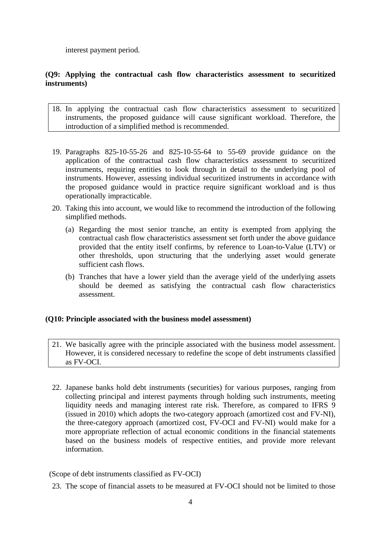interest payment period.

#### **(Q9: Applying the contractual cash flow characteristics assessment to securitized instruments)**

- 18. In applying the contractual cash flow characteristics assessment to securitized instruments, the proposed guidance will cause significant workload. Therefore, the introduction of a simplified method is recommended.
- 19. Paragraphs 825-10-55-26 and 825-10-55-64 to 55-69 provide guidance on the application of the contractual cash flow characteristics assessment to securitized instruments, requiring entities to look through in detail to the underlying pool of instruments. However, assessing individual securitized instruments in accordance with the proposed guidance would in practice require significant workload and is thus operationally impracticable.
- 20. Taking this into account, we would like to recommend the introduction of the following simplified methods.
	- (a) Regarding the most senior tranche, an entity is exempted from applying the contractual cash flow characteristics assessment set forth under the above guidance provided that the entity itself confirms, by reference to Loan-to-Value (LTV) or other thresholds, upon structuring that the underlying asset would generate sufficient cash flows.
	- (b) Tranches that have a lower yield than the average yield of the underlying assets should be deemed as satisfying the contractual cash flow characteristics assessment.

## **(Q10: Principle associated with the business model assessment)**

- 21. We basically agree with the principle associated with the business model assessment. However, it is considered necessary to redefine the scope of debt instruments classified as FV-OCI.
- 22. Japanese banks hold debt instruments (securities) for various purposes, ranging from collecting principal and interest payments through holding such instruments, meeting liquidity needs and managing interest rate risk. Therefore, as compared to IFRS 9 (issued in 2010) which adopts the two-category approach (amortized cost and FV-NI), the three-category approach (amortized cost, FV-OCI and FV-NI) would make for a more appropriate reflection of actual economic conditions in the financial statements based on the business models of respective entities, and provide more relevant information.

(Scope of debt instruments classified as FV-OCI)

23. The scope of financial assets to be measured at FV-OCI should not be limited to those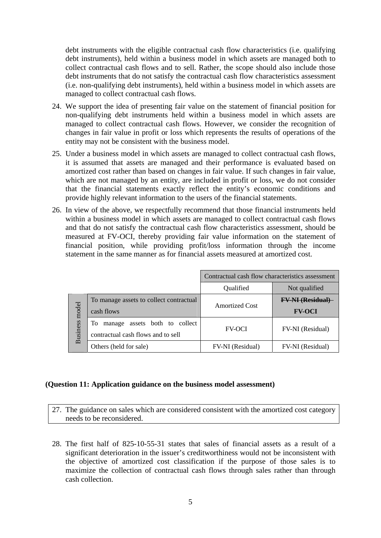debt instruments with the eligible contractual cash flow characteristics (i.e. qualifying debt instruments), held within a business model in which assets are managed both to collect contractual cash flows and to sell. Rather, the scope should also include those debt instruments that do not satisfy the contractual cash flow characteristics assessment (i.e. non-qualifying debt instruments), held within a business model in which assets are managed to collect contractual cash flows.

- 24. We support the idea of presenting fair value on the statement of financial position for non-qualifying debt instruments held within a business model in which assets are managed to collect contractual cash flows. However, we consider the recognition of changes in fair value in profit or loss which represents the results of operations of the entity may not be consistent with the business model.
- 25. Under a business model in which assets are managed to collect contractual cash flows, it is assumed that assets are managed and their performance is evaluated based on amortized cost rather than based on changes in fair value. If such changes in fair value, which are not managed by an entity, are included in profit or loss, we do not consider that the financial statements exactly reflect the entity's economic conditions and provide highly relevant information to the users of the financial statements.
- 26. In view of the above, we respectfully recommend that those financial instruments held within a business model in which assets are managed to collect contractual cash flows and that do not satisfy the contractual cash flow characteristics assessment, should be measured at FV-OCI, thereby providing fair value information on the statement of financial position, while providing profit/loss information through the income statement in the same manner as for financial assets measured at amortized cost.

|                          |                                                                              | Contractual cash flow characteristics assessment |                         |
|--------------------------|------------------------------------------------------------------------------|--------------------------------------------------|-------------------------|
|                          |                                                                              | Qualified                                        | Not qualified           |
| model<br><b>Business</b> | To manage assets to collect contractual                                      | <b>Amortized Cost</b>                            | <b>FV-NI (Residual)</b> |
|                          | cash flows                                                                   |                                                  | <b>FV-OCI</b>           |
|                          | assets both to collect<br>Тo<br>manage<br>contractual cash flows and to sell | <b>FV-OCI</b>                                    | FV-NI (Residual)        |
|                          | Others (held for sale)                                                       | <b>FV-NI</b> (Residual)                          | FV-NI (Residual)        |

#### **(Question 11: Application guidance on the business model assessment)**

27. The guidance on sales which are considered consistent with the amortized cost category needs to be reconsidered.

28. The first half of 825-10-55-31 states that sales of financial assets as a result of a significant deterioration in the issuer's creditworthiness would not be inconsistent with the objective of amortized cost classification if the purpose of those sales is to maximize the collection of contractual cash flows through sales rather than through cash collection.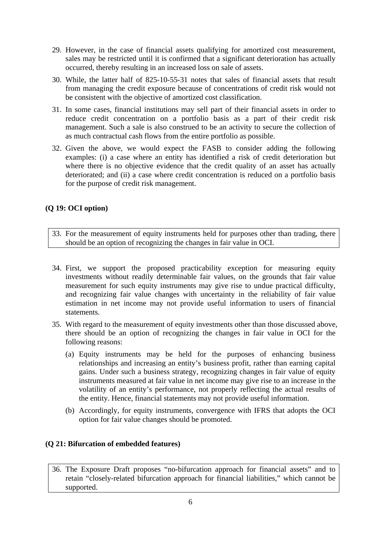- 29. However, in the case of financial assets qualifying for amortized cost measurement, sales may be restricted until it is confirmed that a significant deterioration has actually occurred, thereby resulting in an increased loss on sale of assets.
- 30. While, the latter half of 825-10-55-31 notes that sales of financial assets that result from managing the credit exposure because of concentrations of credit risk would not be consistent with the objective of amortized cost classification.
- 31. In some cases, financial institutions may sell part of their financial assets in order to reduce credit concentration on a portfolio basis as a part of their credit risk management. Such a sale is also construed to be an activity to secure the collection of as much contractual cash flows from the entire portfolio as possible.
- 32. Given the above, we would expect the FASB to consider adding the following examples: (i) a case where an entity has identified a risk of credit deterioration but where there is no objective evidence that the credit quality of an asset has actually deteriorated; and (ii) a case where credit concentration is reduced on a portfolio basis for the purpose of credit risk management.

# **(Q 19: OCI option)**

- 33. For the measurement of equity instruments held for purposes other than trading, there should be an option of recognizing the changes in fair value in OCI.
- 34. First, we support the proposed practicability exception for measuring equity investments without readily determinable fair values, on the grounds that fair value measurement for such equity instruments may give rise to undue practical difficulty, and recognizing fair value changes with uncertainty in the reliability of fair value estimation in net income may not provide useful information to users of financial statements.
- 35. With regard to the measurement of equity investments other than those discussed above, there should be an option of recognizing the changes in fair value in OCI for the following reasons:
	- (a) Equity instruments may be held for the purposes of enhancing business relationships and increasing an entity's business profit, rather than earning capital gains. Under such a business strategy, recognizing changes in fair value of equity instruments measured at fair value in net income may give rise to an increase in the volatility of an entity's performance, not properly reflecting the actual results of the entity. Hence, financial statements may not provide useful information.
	- (b) Accordingly, for equity instruments, convergence with IFRS that adopts the OCI option for fair value changes should be promoted.

## **(Q 21: Bifurcation of embedded features)**

36. The Exposure Draft proposes "no-bifurcation approach for financial assets" and to retain "closely-related bifurcation approach for financial liabilities," which cannot be supported.